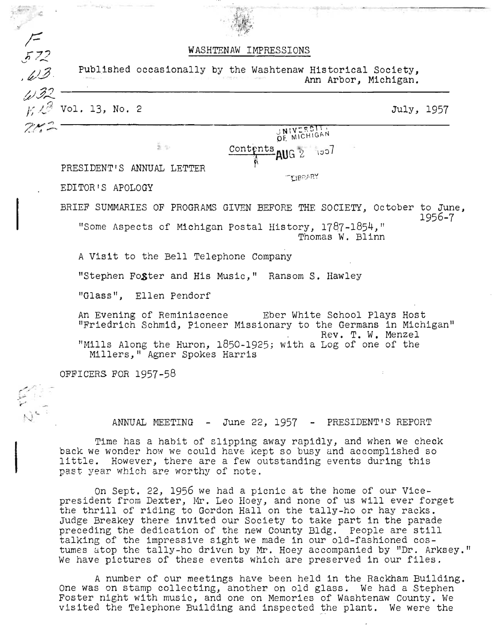

### WASHTENAW IMPRESSIONS

*,ilY·*  Published occasionally by the Washtenaw Historical Society, Ann Arbor, Michigan.  $\frac{1}{4}$   $\frac{32}{32}$   $\frac{1}{\frac{32}{32}}$   $\frac{1}{\frac{32}{32}}$   $\frac{1}{\frac{32}{32}}$   $\frac{1}{\frac{32}{32}}$   $\frac{1}{\frac{32}{32}}$ ----------------------------------------N-l-V~:~~~M\\~-------------------- N MICHIGAN  $\tilde{\mathbf{x}}$  and  $\frac{\text{Contents}}{2}$   $\frac{1}{3}$ PRESIDENT'S ANNUAL LETTER **TEIBRARY** EDI TOR'S APOLOGY  $\mathbf{I}$ BRIEF SUMMARIES OF PROGRAMS GIVEN BEFORE THE SOCIETY, October to June, 1956-7 "Some Aspects of Michigan Postal History, 17\$7-1854," Thomas W. Blinn A Visit to the Bell Telephone Company "Stephen FoSter and His Music," Ransom S. Hawley "Glass", Ellen Pendorf An Evening of Reminiscence Eber White School Plays Host "Friedrich Schmid, Pioneer Missionary to the Germans in Michigan" Rev. T. W. Menzel Mills Along the Huron, 1850-1925; with a Log of one of the Millers," Agner Spokes Harris OFFICERS FOR 1957-58 : .  $\frac{1}{2}$   $\frac{1}{2}$ ANNUAL MEETING - June 22, 1957 - PRESIDENT'S REPORT  $\mathbf{I}$ Time has a habit of slipping away rapidly, and when we check

back we wonder how we could have kept so busy and accomplished so little. However, there are a few outstanding events during this past year which are worthy of note.

on Sept. 22, 1956 we had a picnic at the home of our Vicepresident from Dexter, Mr. Leo Hoey, and none of us will ever forget the thrill of riding to Gordon Hall on the tally-ho or hay racks. Judge Breakey there invited our Society to take part in the parade preceding the dedication of the new County Bldg. People are still talking of the impressive sight we made in our old-fashioned costumes atop the tally-ho driven by Mr. Hoey accompanied by "Dr. Arksey." We have pictures of these events Which are preserved in our files.

A number of our meetings have been held in the Rackham Building.<br>One was on stamp collecting, another on old glass. We had a Stephen Foster night with music, and one on Memories of Washtenaw County. We visited the Telephone Building and inspected the plant. We were the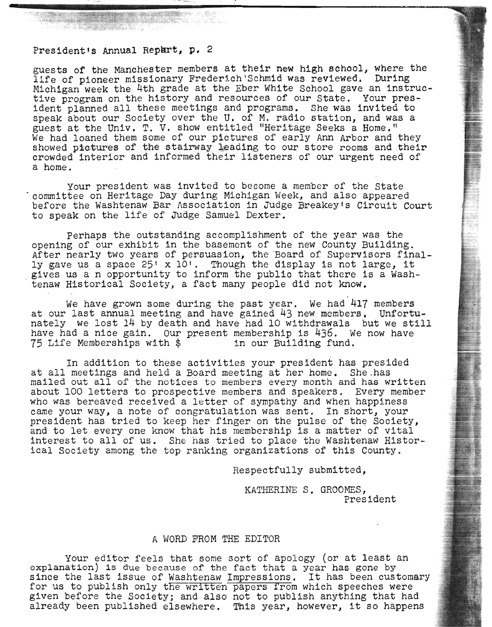## President's Annual Repart, p. 2

guests of the Manchester members at their new high school, where the<br>life of pioneer missionary Frederich Schmid was reviewed. During Michigan week the 4th grade at the Eber White School gave an instructive program on the history and resources of our State. Your pres- ident planned all these meetings and programs. She was invited to speak about our Society over the U. of M. radio station, and was a guest at the Univ. T. V. show entitled "Heritage Seeks a Home." We had loaned them some of our pictures of early Ann Arbor and they showed pictures of the stairway leading to our store rooms and their crowded interior and informed their listeners of our urgent need of a home.

Your president was invited to become a member of the State<br>committee on Heritage Day during Michigan Week, and also appeared<br>before the Washtenaw Bar Association in Judge Breakey's Circuit Court to speak on the life of Judge Samuel Dexter.

Perhaps the outstanding accomplishment of the year was the opening of our exhibit in the basement of the new County Building.<br>After nearly two years of persuasion, the 'Board of Supervisors final-After nearly two years of persuasion, the Board of Supervisors fina.<br>Iy gave us a space 25' x 10'. Though the display is not large, it<br>gives us a n opportunity to inform the public that there is a Washgives us a n opportunity to inform the public that there is a Wash-<br>tenaw Historical Society, a fact many people did not know.

We have grown some during the past year. We had 417 members at our last annual meeting and have gained 43 new members. Unfortunately we lost 14 by death and have had 10 withdrawals but we still have had a nice gain. Our present membership is 436. We now have 75 Life Memberships with \$ in our Building fund.

In addition to these activities your president has presided at all meetings and held a Board meeting at her home. She .has mailed out all of the notices to members every month and has written about 100 letters to prospective members and speakers. Every member who was bereaved received a letter of sympathy and when happiness came your way, a note of congratulation was sent. In short, your president has tried to keep her finger on the pulse of the Society, and to let every one know that his membership is a matter of vital interest to all of us. She has tried to place the Washtenaw Historical Society among the top ranking organizations of this County.

Respectfully submitted,

KATHERINE S, GROOMES, President

#### A WORD FROM THE EDITOR

Your editor feels that some sort of apology (or at least an explanation) is due because of the fact that a year has gone by<br>since the last issue of Washtenaw Impressions. It has been customary<br>for us to publish only the written papers from which speeches were given before the Society; and also' not to publish anything that had already been published elsewhere. This year, however, it so happens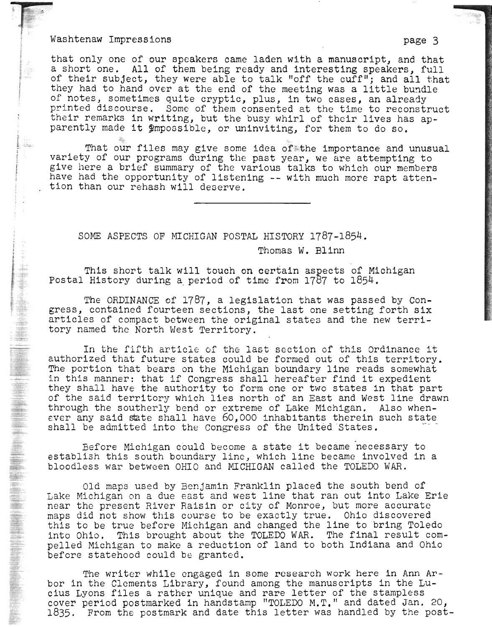### Washtenaw Impressions **page 3**

J the car

**ilian** 

, ~ i

that only one of our speakers came laden with a manuscript, and that a short one. All of them being ready and interesting speakers, full of their subject, they were able to talk "off the cuff"; and all that they had to hand over at the end of the meeting was a little bundle of notes, sometimes quite cryptic, plus, in two cases, an already printed discourse. Some of them consented at the time to reconstruct rinted discourse. Some of them consented at the time to reconstruc<br>heir remarks in writing, but the busy whirl of their lives has apheir remarks in writing, but the busy whirl of their lives has<br>arently made it \$mpossible, or uninviting, for them to do so.

That our files may give some idea of the importance and unusual variety of our programs during the past year, we are attempting to give here a brief summary of the various talks to which our members have had the opportunity of listening -- with much more rapt attention than our rehash will deserve.

SOME ASPECTS OF MICHIGAN POSTAL HISTORY 1787-1854.

Thomas W. Blinn

This short talk will touch on certain aspects of Michigan Postal History during a period of time from 1787 to 1854.

The ORDINANCE of 1787, a legislation that was passed by Congress, contained fourteen sections, the last one setting forth six articles of compact between the original states and the new territory named the North West Territory.

In the fifth article of the last section of this Ordinance it authorized that future states could be formed out of this territory. The portion that bears on the Michigan boundary line reads somewhat in this manner: that if Congress shall hereafter find it expedient they shall have the authority to form one or two states in that part of the said territory which lies north of an East and West line drawn through the southerly bend or extreme of Lake Michigan. Also whennrougn the southerly bend or extreme of Lake Michigan. Also when-<br>ver any said state shall have 60.000 inhabitants therein such state ver any said state shall have 60,000 inhabitants therein such state<br>hall be admitted into the Congress of the United States.

Before Michigan could become a state it became necessary to establish this south boundary line, which line became involved in a bloodless war between OHIO and MICHIGAN called the TOLEDO WAR.

Old maps used by Benjamin Franklin placed the south bend of Lake Michigan on a due east and west line that ran out into Lake Erie near the present River Raisin or city of Monroe, but more accurate maps did not show this course to be exactly true. Ohio discovered this to be true before Michigan and changed the line to bring Toledo into Ohio. This brought about the TOLEDO WAR. The final result compelled Michigan to make a reduction of land to both Indiana and Ohio before statehood could be granted.

The writer while engaged in some research work here in Ann Arbom in the Clements Library, found among the manuscripts in the Lu-<br>An the Clements Library, found among the manuscripts in the Luor in the Clements Library, found among the manuscripts in the Lu<br>ius Lyons files a rather unique and rare letter of the stampless cius Lyons files a rather unique and rare letter of the stampless<br>cover period postmarked in handstamp "TOLEDO M.T." and dated Jan. 20,<br>1835. From the postmark and date this letter was handled by the post-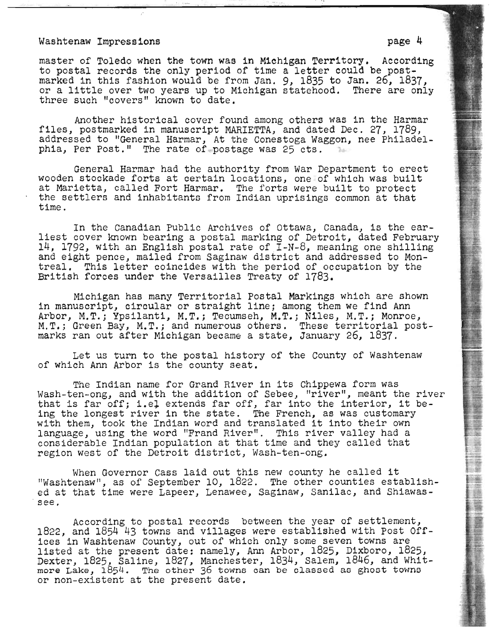## Washtenaw Impressions **page 4**

master of Toledo when the town was in Michigan Territory. According haster of foledo when the town was in michigan ferritory, accord<br>to postal records the only period of time a letter could be postmarked in this fashion would be from Jan. 9, 1835 to Jan. 26, 1837, or a little over two years up to Michigan statehood. There are only three such "covers" known to date.

Another historical cover found among others was in the Harmar files, postmarked in manuscript MARIETTA, and dated Dec. 27, 1789, addressed to "General Harmar, At the Conestoga Waggon, nee Philadelphia, Per Post." The rate of postage was 25 cts.

General Harmar had the authority from War Department to erect wooden stockade forts at certain locations, one of which was built at Marietta, called Fort Harmar. The forts were built to protect the settlers and inhabitants from Indian uprisings common at that time.

In the Canadian Public Archives of ottawa, Canada, is the earliest cover known bearing a postal marking of Detroit, dated February 14, 1792, with an English postal rate ofI-N-8, meaning one shilling and eight pence, mailed from saginaw district and addressed to Montreal. This letter coincides with the period of occupation by the British forces under the Versailles Treaty of 1783.

Michigan has many Territorial Postal Markings which are shown in manuscript, circular or straight line; among them we find Ann Arbor, M.T.; Ypsilanti, M.T.; Tecumseh, M.T.; Niles, M.T.; Monroe, M.T.; Green Bay, M.T.; and numerous others. These territorial post- marks ran out after Michigan became a state, January 26, 1837.

Let us turn to the postal history of the County of Washtenaw of which Ann Arbor is the county seat.

The Indian name for Grand River in its Chippewa form was Wash-ten-ong, and with the addition of Sebee, "river", meant the river that is far off; i.el extends far off, far into the interior, it being the longest river in the state. The French, as was customary with them, took the Indian word and translated it into their own language, using the word "Frand River", This river valley had a conSiderable Indian population at that time and they called that region west of the Detroit district, Wash-ten-ong.

When Governor cass laid out this new county he called it "Washtenaw", as of September 10, 1822. The other counties established at that time were Lapeer, Lenawee, Saginaw, Sanilac, and Shiawas-<br>see.

According to postal records between the year of settlement, 1822, and 1854 43 towns and villages were established with Post Offices in Washtenaw County, out of which only some seven towns are listed at the present date: namely, Ann Arbor, 1825, Dixboro, 1825, Dexter, 1825, Saline, 1827, Manchester, 1834, Salem, 1846, and Whitmore Lake, 1854. The other 36 towns can be classed as ghost towns or non-existent at the present date.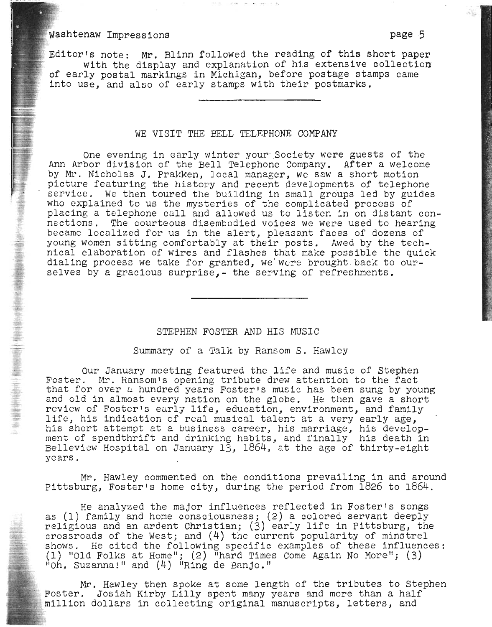## Washtenaw Impressions example that the page 5

● 東京大学大学 (中国大学大学) 中国大学大学

Editor's note: Mr. Blinn followed the reading of this short paper with the display and explanation of his extensive collection of early postal markings in Michigan, before postage stamps came into use, and also of early stamps with their postmarks.

#### WE VISIT THE BELL TELEPHONE COMPANY

One evening in early winter your Society were guests of the Ann Arbor division of the Bell Telephone Company. After a welcome by Mr. Nicholas J. Prakken, local manager, we saw a short motion y mr. nicholas J. Prakken, local manager, we saw a short motion<br>icture featuring the history and recent developments of telephone icture featuring the history and recent developments of telephone<br>ervice. We then toured the building in small groups led by guides service. We then toured the building in small groups led by guides who explained to us the mysteries of the complicated process of placing a telephone call and allowed us to listen in on distant conne ctions. The courteous disembodied voices we were used to hearing be came localized for us in the alert, pleasant faces of dozens of young women sitting comfortably at their posts. Awed by the technical elaboration of wires and flashes that make possible the quick dialing process we take for granted, we were brought back to ourselves by a gracious surprise, - the serving of refreshments.

#### STEPHEN FOSTER AND HIS MUSIC

### Summary of a Talk by Ransom S. Hawley

Our January meeting featured the life and music of Stephen Our January meeting featured the life and music of Stephen<br>oster. Mr. Ransom's opening tribute drew attention to the fact 'oster. Mr. Ransom's opening tribute drew attention to the fact<br>hat for over a hundred vears Foster's music has been sung by young nat for over a nundred years roster's music has been sung by young.<br>nd old in almost every nation on the globe. He then gave a short and old in almost every nation on the globe. He then gave a short review of Foster's early life, education, environment, and family life, his indication of real musical talent at a very early age, his short attempt at a business career, his marriage, his developis snort attempt at a business career, his marriage, his develop-<br>ent of spendthrift and drinking habits, and finally, his death in ent of spendtnrift and drinking nabits, and finally this death in<br>Relleview Hospital on January 13, 1864, at the age of thirty-eight ears.<br>Eilevi

Mr. Hawley commented on the conditions prevailing in and around Pittsburg, Foster's home city, during the period from 1826 to 1864.

He analyzed the major influences reflected in Foster's songs as (1) family and home consciousness; (2) a colored s ervant deeply s (1) family and home consciousness; (2) a colored servant deeply<br>eligious and an ardent Christian: (3) early life in Pittsburg, the eligious and an ardent christian; (3) early life in ritusburg, the<br>rossroads of the West: and (4) the current popularity of minstrel crossroads of the West; and  $(4)$  the current popularity of minstrel shows. He cited the following specific examples of these influences: nows. He cited the following specific examples of these influenc<br>1) "Old Folks at Home": (2) "hard Times Come Again No More": (3) "Oh, Suzanna!" and (4) "Ring de Banjo."

Mr. Hawley then spoke at some length of the tributes to Stephen Mr. Hawley then spoke at some length of the tributes to Step!<br>Oster. Josiah Kirby Lilly spent many years and more than a half! 'oster. Josiah Kirby Lilly spent many years and more than a hali'<br>dillion dollars in collecting original manuscripts. letters, and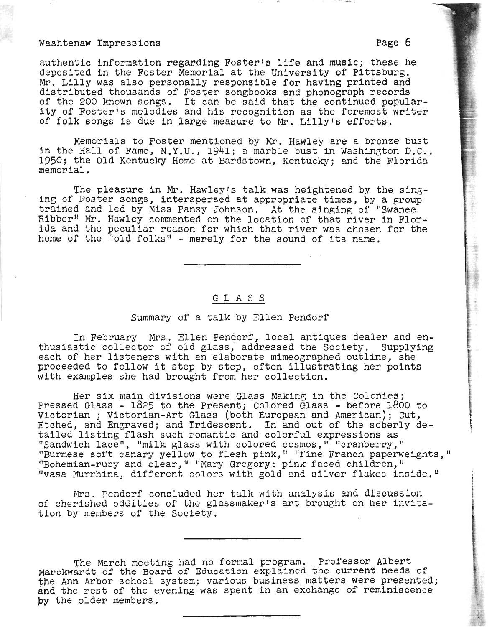### Washtenaw Impressions **page 6**

authentic information regarding Foster's life and music; these he deposited in the Foster Memorial at the University of Pittsburg. Mr. Lilly was also personally responsible for having printed and distributed thousands of Foster songbooks and phonograph records of the 200 known songs. It can be said that the continued popular- ity of Foster's melodies and his recognition as the foremost writer of folk songs is due in large measure to Mr. Lilly's efforts.

Memorials to Foster mentioned by Mr. Hawley are a bronze bust in the Hall of Fame, N.Y.U., 1941; a marble bust in Washington D.C., 1950; the Old Kentucky Home at Bardstown, Kentucky; and the Florida memorial.

The pleasure in Mr. Hawley's talk was heightened by the sing-<br>ing of Foster songs, interspersed at appropriate times, by a group<br>trained and led by Miss Pansy Johnson. At the singing of "Swanee Ribber" Mr. Hawley commented on the location of that river in Florida and the peculiar reason for which that river was chosen for the home of the "old folks" - merely for the sound of its name.

## G LAS S

#### Summary of a talk by Ellen Pendorf

In February Mrs. Ellen Pendorf, local antiques dealer and enthusiastic collector of old glass, addressed the Society. Supplying each of her listeners with an elaborate mimeographed outline, she proceeded to follow it step by step, often illustrating her points with examples she had brought from her collection.

Her six main divisions were Glass Making in the Colonies; ner six main divisions were diass making in the colonies,<br>Pressed Glass - 1825 to the Present: Colored Glass - before 1800 to Victorian j Victorian-Art Glass (both European and American); Cut, Etched, and Engraved; and Iridescent. In and out of the soberly detailed listing' flash such romantic and colorful expressions as flatted fisting frasm such romantic and cororiur expressions as<br>'Sandwich lace", "milk glass with colored cosmos," "cranberry,"<br>'Burmese soft canary yellow to flesh pink," "fine French paperweights." "Bohemian-ruby and clear," "Mary Gregory: pink faced children," "vasa Murrhina, different colors with gold and silver flakes inside."

Mrs. Pendorf concluded her talk with analysis and discussion of cherished oddities of the glassmaker's art brought on her invitation by members of the Society.

The March meeting had no formal program. Professor Albert Marckwardt of the Board of Education explained the current needs of the Ann Arbor school system; various business matters were presented; and the rest of the evening was spent in an exchange of reminiscence by the older members.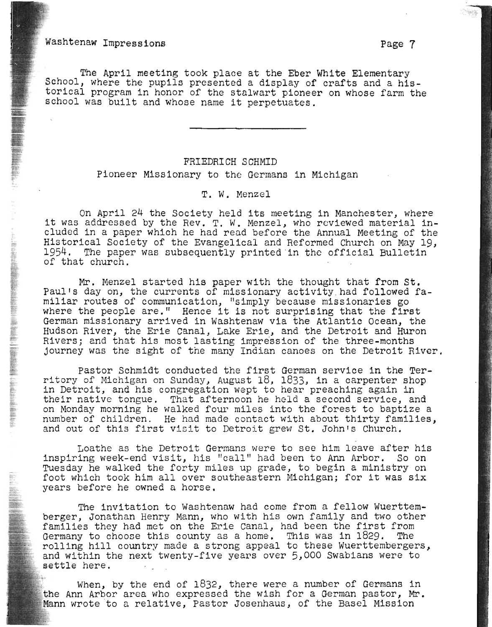10.11.2010年10月10日, 1999年10月10日, 1999年10月, 1999年10月, 1999年10月, 1999年10月, 1999年10月, 1999年10月, 1999年10月

The April meeting took place at the Eber White Elementary School, where the pupils presented a display of crafts and a hischool, where the pupils presented a display of crafts and a his.<br>Orical program in honor of the stalwart pioneer on whose farm the orical program in honor of the stalwart pioneer<br>chool was built and whose name it perpetuates.

# FRIEDRICH SCHMID Pioneer Missionary to the Germans in Michigan

#### T. W. Menzel

On April 24 the Society held its meeting in Manchester, where it was addressed by the Rev. T. W. Menzel, who reviewed material included in a paper which he had read before the Annual Meeting of the Historical Society of the Evangelical and Reformed Church on May 19, 1954. The paper was subsequently printed 'in the official Bulletin of that church.

Mr. Menzel started his paper with the thought that from St. Paul's day on, the currents of missionary activity had followed familiar routes of communication, "simply because missionaries go where the people are." Hence it is not surprising that the first German missionary arrived in Washtenaw via the Atlantic Ocean, the Hudson River, the Erie canal, Lake Erie, and the Detroit and Huron Rivers; and that his most lasting impression of the three-months journey was the sight of the many Indian canoes on the Detroit River.

pastor Schmidt conducted the first German service in the Territory of Michigan on Sunday, August 18, 1833, in a carpenter shop in Detroit, and his congregation wept to hear preaching again in their native tongue. That afternoon he held a second service, and on Monday morning he walked four miles into the forest to baptize a number of children. He had made contact with about thirty families, and out of this first visit to Detroit grew St. John's Church.

Loathe as the Detroit Germans were to see him leave after his inspiring week-end visit, his "call" had been to Ann Arbor. So on nspiring week-end visit, his "call" had been to Ann Arbor. So on.<br>hesday he walked the forty miles up grade, to begin a ministry on uesday he walked the forty miles up grade, to begin a ministry on<br>oot which took him all over southeastern Michigan: for it was six foot which took him all over southeastern Michigan; for it was six vears before he owned a horse.

The invitation to Washtenaw had come from a fellow Wuerttemberger, Jonathan Henry Mann, who with his own family and two other erger, Jonathan Henry Mann, who with his own family and two othe:<br>'amilies they had met on the Erie Canal. had been the first from amilies they had met on the Erie Canal, had been the first from<br>ermany to choose this county as a home. This was in 1829. The Germany to choose this county as a home. This was in 1829. The rolling hill country made a strong appeal to these Wuerttembergers, and within the next twenty-five years over 5,000 Swabians were to settle here.

When, by the end of 1832, there were a number of Germans in the Ann Arbor area who expressed the wish for a German pastor, Mr. Mann wrote 'to a relative, pastor Josenhaus, of the Basel Mission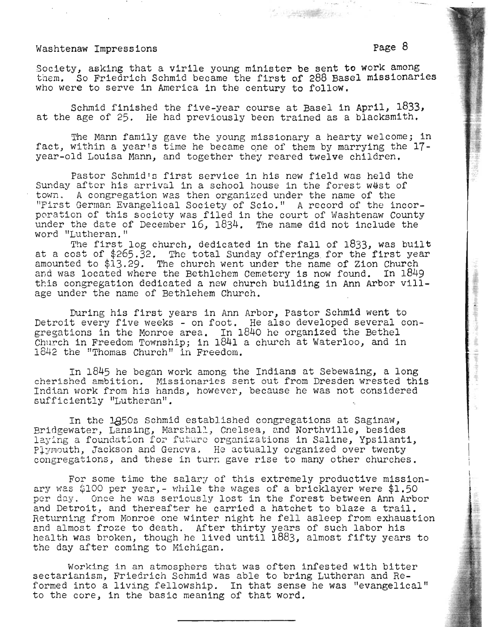# Washtenaw Impressions **Page 8**

Society, asking that a virile young minister be sent to work among them. So Friedrich Schmid became the first of 288 Basel missionaries who were to serve in America in the century to follow.

Schmid finished the five-year course at Basel in April, 1833, at the age of 25. He had previously been trained as a blacksmith.

The Mann family gave the young missionary a hearty welcome; in fact, within a year's time he became one of them by marrying the 17year-old Louisa Mann, and together they reared twelve children.

Pastor Schmid's first service in his new field was held the Sunday after his arrival in a school house in the forest west of town. A congregation was then organized under the name of the "Pirst German Evangelical Society of Scio." A record of the incorporation of this society was filed in the court of Washtenaw County under the date of December 16, 1834. The name did not include the word "Lutheran."

The first log church, dedicated in the fall of 1833, was built at a cost of \$265.32. The total Sunday offerings, for the first year amounted to \$13.29. The church went under the name of Zion Church and was located where the Bethlehem Cemetery is now found. In 1849 this congregation dedicated a new, church building in Ann Arbor village under the name of Bethlehem Church.

During his first years in Ann Arbor, Pastor Schmid went to Detroit every five weeks - on foot. He also developed several congregations in the Monroe area. In 1840 he organized the Bethel Church in Freedom Township; in 1841 a church at Waterloo, and in 1842 the "Thomas Church" in Freedom.

In 1845 he began work among the Indians at Sebewaing, a long cherished ambition. Missionaries sent out from Dresden wrested this Indian work from his hands, however, because he was not considered sufficiently "Lutheran".

In the 1850s Schmid estabJ.ished congregations at Saginaw, Bridgewater, Lansing, Marshall, Cnelsea, and Northville, besides laying a foundation for future organizations in Saline, Ypsilanti, Plymouth, Jackson and Geneva. He actually organized over twenty congregations, and these in turn gave rise to many other churches.

For some time the salary of this extremely productive missionary was \$100 per year,- while the wages of a bricklayer were \$1.50 per day. Once he was seriously lost in the forest between Ann Arbor and Detroit, and thereafter he carried a hatchet to blaze a trail. Returning from Monroe one winter night he fell asleep from exhaustion and almost froze to death. After thirty years of such labor his health was broken, though he lived until 1883, almost fifty years to the day after coming to Michigan.

Working in an atmosphers that was often infested with bitter sectarianism, Friedrich Schmid was able to bring Lutheran and Reformed into a living fellowship. In that sense he was "evangelical" to the core, in the basic meaning of that word.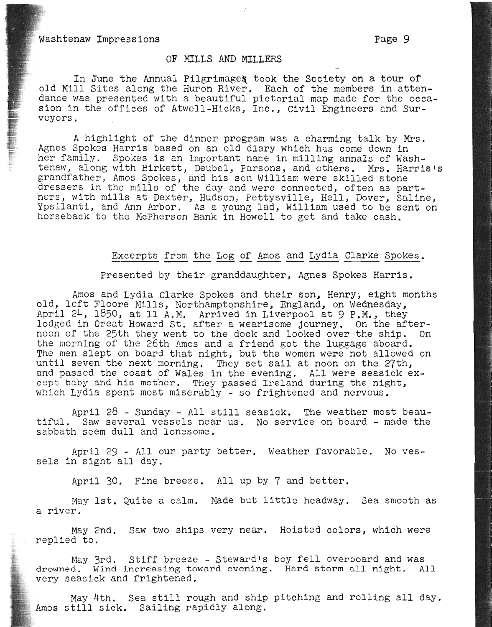## Washtenaw Impressions extended to the page 9

**精神** 

#### OF MILLS AND MILLERS

In June the Annual Pilgrimages took the Society on a tour of old Mill Sites along the Huron River. Each of the members in attendance was presented with a beautiful pictorial map made for the occasion in the offices of Atwell-Hicks, Inc., Civil Engineers and Surveyors.

A highlight of the dinner program was a charming talk by Mrs. Agnes Spokes Harris based on an old diary which has come down in her family. Spokes is an important name in milling annals of Washtenaw, along with Birkett, Deubel, Parsons, and others. Mrs. Harris's grnndfather, Amos Spokes, and his son William were skilled stone dressers in the mills of the day and were connected, often as partners, with mills at Dexter, Hudson, Pettysville, Hell, Dover, Saline, Ypsilanti, and Ann Arbor. As a young lad, William used to be sent on horseback to the McPherson Bank in Howell to get and take cash.

### Excerpts from the Log of Amos and Lydia Clarke Spokes.

Presented by their granddaughter, Agnes Spokes Harris.

Amos and Lydia Clarke Spokes and their son, Henry, eight months old, left Floore Mills, Northamptonshire, England, on Wednesday, April 24, 1850, at 11 A.M. Arrived in Liverpool at 9 P.M., they lodged in Great Howard st. after a wearisome journey. On the afternoon of the 25th they went to the dock and looked over the ship. On the morning of the 26th Amos and a friend got the luggage aboard. The men slept on board that night, but the women were not allowed on until seven the next morning. They set sail at noon on the 27th, and passed the coast of Wales in the evening. All were seasick except baby and his mother. They passed Ireland during the night, which Lydia spent most miserably - so frightened and nervous.

April  $28$  - Sunday - All still seasick. The weather most beautiful. Saw several vessels near us. No service on board - made the sabbath seem dull and lonesome.

April 29 - All our party better. Weather favorable. No vessels in sight all day.

April 30. Fine breeze. All up by 7 and better.

May 1st. Quite a calm. Made but little headway. Sea smooth as a river.

May 2nd. Saw two ships very near. Hoisted colors, which were replied to.

May 3rd. Stiff breeze - Steward's boy fell overboard and was drowned. Wind increasing toward evening. Hard storm all night. All very seasick and frightened.

May 4th. Sea still rough and ship pitching and rolling all day. Amos still sick. Sea still rough and ship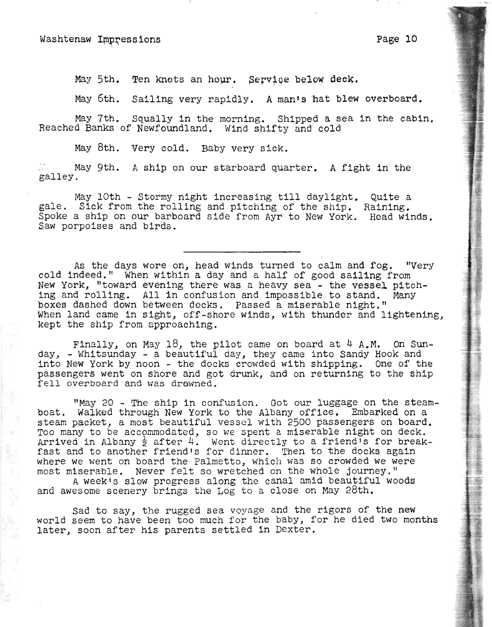May 5th. Ten knots an hour. Service below deck.

May 6th. Sailing very rapidly. A man's hat blew overboard.

May 7th. Squally in the morning. Shipped a sea in the cabin. Reached Banks of Newfoundland. Wind shifty and cold

May 8th. Very cold. Baby very sick.

May 9th. A ship on our starboard quarter. A fight in the galley.

May 10th - Stormy night increasing till daylight.<br>gale. Sick from the rolling and pitching of the ship.<br>Spoke a ship on our barboard side from Ayr to New York. Saw porpoises and birds. May 10th - Stormy night increasing till daylight. Quite a q<del>aroo</del>c Spoke a ship on our barboard side from Ayr to New York. Head winds.

As the days wore on, head winds turned to calm and fog. "Very cold indeed." When within a day and a half of good sailing from New York, "toward evening there was a heavy sea - the vessel pitch-<br>ing and rolling. All in confusion and impossible to stand. Many<br>boxes dashed down between decks. Passed a miserable night."<br>When land came in sight, off-s

Finally, on May 18, the pilot came on board at  $4$  A.M. On Sunday, - Whitsunday - a beautiful day, they came into Sandy Hook and into New York by noon - the docks crowded with shipping. One of the passengers went on shore and got drunk, and on returning to the ship fell overboard and was drawned.

"May 20 - The ship in confusion. Got our luggage on the steamboat. Walked through New York to the Albany office. Embarked on a steam packet, a most beautiful vessel with 2500 passengers on board. Too many to be accommodated, so we spent a miserable night on deck. Arrived in Albany  $\frac{1}{2}$  after 4. Went directly to a friend's for breakfast and to another friend's for dinner. Then to the docks again where we went on board the Palmetto, which was so crowded we were most miserable. Never felt so wretched on the whole journey."<br>A week's slow progress along the canal amid beautiful woods

and awesome scenery brings the Log to a close on May 28th.

Sad to say, the rugged sea voyage and the rigors of the new world seem to have been too much for the baby, for he died two months later, soon after his parents settled in Dexter.